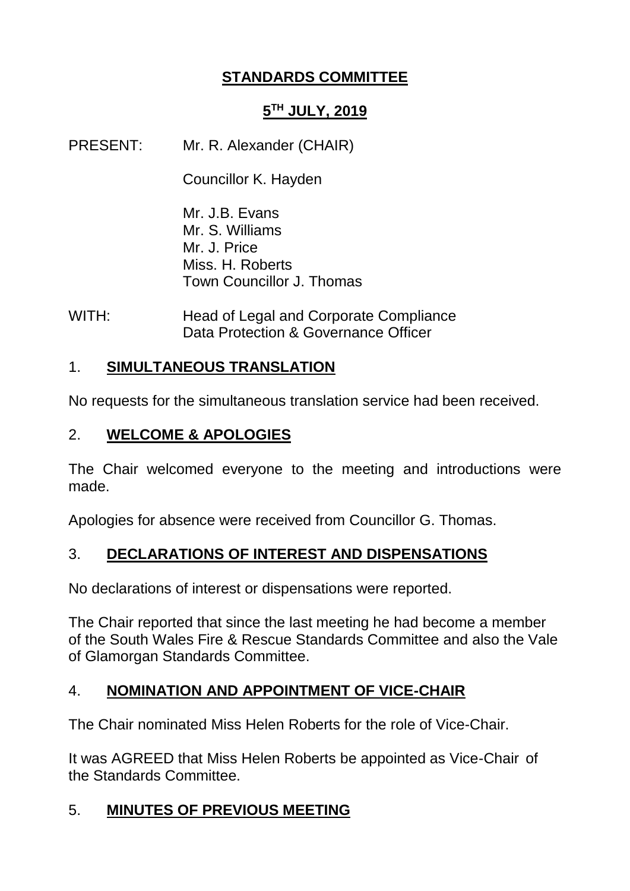## **STANDARDS COMMITTEE**

## **5 TH JULY, 2019**

PRESENT: Mr. R. Alexander (CHAIR)

Councillor K. Hayden

Mr. J.B. Evans Mr. S. Williams Mr. J. Price Miss. H. Roberts Town Councillor J. Thomas

WITH: Head of Legal and Corporate Compliance Data Protection & Governance Officer

## 1. **SIMULTANEOUS TRANSLATION**

No requests for the simultaneous translation service had been received.

## 2. **WELCOME & APOLOGIES**

The Chair welcomed everyone to the meeting and introductions were made.

Apologies for absence were received from Councillor G. Thomas.

# 3. **DECLARATIONS OF INTEREST AND DISPENSATIONS**

No declarations of interest or dispensations were reported.

The Chair reported that since the last meeting he had become a member of the South Wales Fire & Rescue Standards Committee and also the Vale of Glamorgan Standards Committee.

# 4. **NOMINATION AND APPOINTMENT OF VICE-CHAIR**

The Chair nominated Miss Helen Roberts for the role of Vice-Chair.

It was AGREED that Miss Helen Roberts be appointed as Vice-Chair of the Standards Committee.

### 5. **MINUTES OF PREVIOUS MEETING**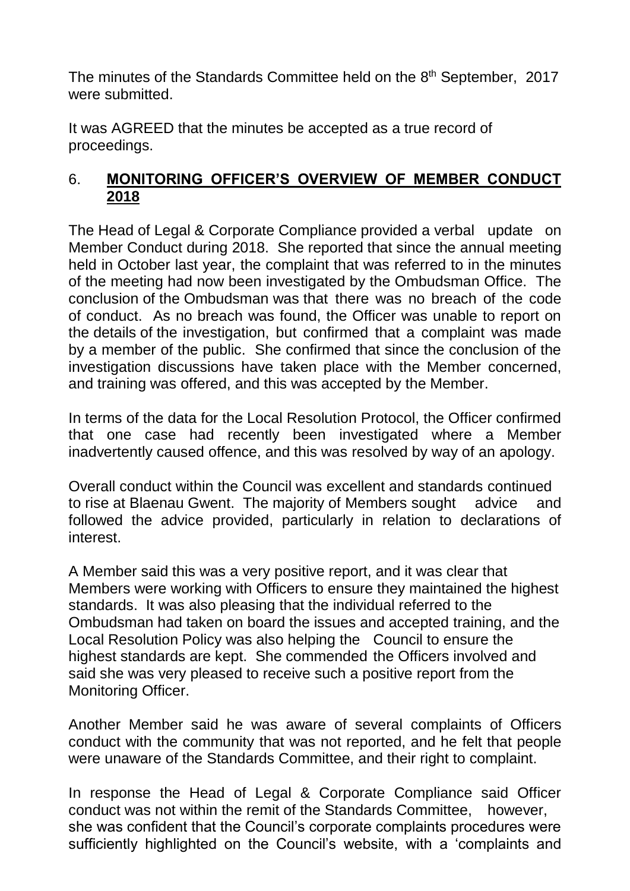The minutes of the Standards Committee held on the 8<sup>th</sup> September, 2017 were submitted.

It was AGREED that the minutes be accepted as a true record of proceedings.

### 6. **MONITORING OFFICER'S OVERVIEW OF MEMBER CONDUCT 2018**

The Head of Legal & Corporate Compliance provided a verbal update on Member Conduct during 2018. She reported that since the annual meeting held in October last year, the complaint that was referred to in the minutes of the meeting had now been investigated by the Ombudsman Office. The conclusion of the Ombudsman was that there was no breach of the code of conduct. As no breach was found, the Officer was unable to report on the details of the investigation, but confirmed that a complaint was made by a member of the public. She confirmed that since the conclusion of the investigation discussions have taken place with the Member concerned, and training was offered, and this was accepted by the Member.

In terms of the data for the Local Resolution Protocol, the Officer confirmed that one case had recently been investigated where a Member inadvertently caused offence, and this was resolved by way of an apology.

Overall conduct within the Council was excellent and standards continued to rise at Blaenau Gwent. The majority of Members sought advice and followed the advice provided, particularly in relation to declarations of interest.

A Member said this was a very positive report, and it was clear that Members were working with Officers to ensure they maintained the highest standards. It was also pleasing that the individual referred to the Ombudsman had taken on board the issues and accepted training, and the Local Resolution Policy was also helping the Council to ensure the highest standards are kept. She commended the Officers involved and said she was very pleased to receive such a positive report from the Monitoring Officer.

Another Member said he was aware of several complaints of Officers conduct with the community that was not reported, and he felt that people were unaware of the Standards Committee, and their right to complaint.

In response the Head of Legal & Corporate Compliance said Officer conduct was not within the remit of the Standards Committee, however, she was confident that the Council's corporate complaints procedures were sufficiently highlighted on the Council's website, with a 'complaints and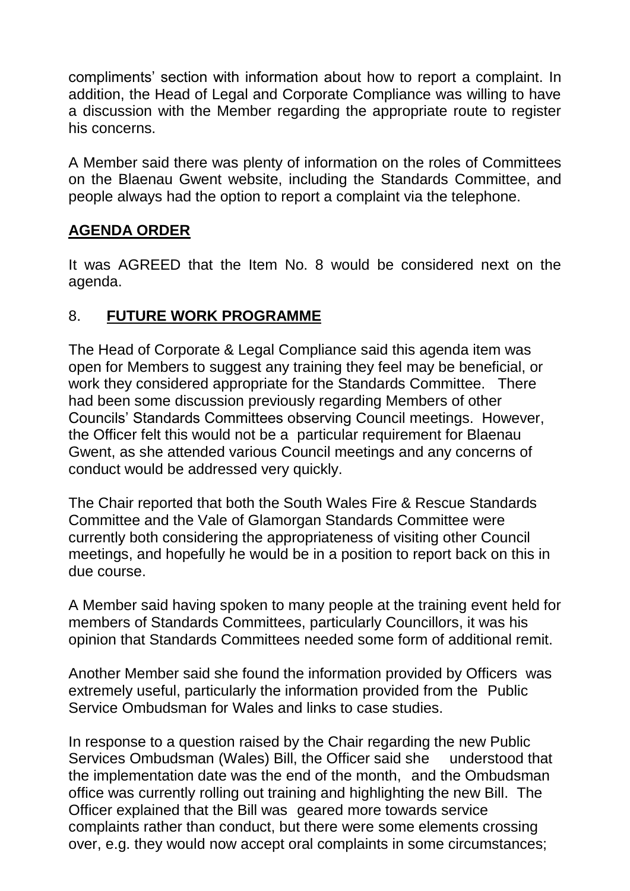compliments' section with information about how to report a complaint. In addition, the Head of Legal and Corporate Compliance was willing to have a discussion with the Member regarding the appropriate route to register his concerns.

A Member said there was plenty of information on the roles of Committees on the Blaenau Gwent website, including the Standards Committee, and people always had the option to report a complaint via the telephone.

## **AGENDA ORDER**

It was AGREED that the Item No. 8 would be considered next on the agenda.

### 8. **FUTURE WORK PROGRAMME**

The Head of Corporate & Legal Compliance said this agenda item was open for Members to suggest any training they feel may be beneficial, or work they considered appropriate for the Standards Committee. There had been some discussion previously regarding Members of other Councils' Standards Committees observing Council meetings. However, the Officer felt this would not be a particular requirement for Blaenau Gwent, as she attended various Council meetings and any concerns of conduct would be addressed very quickly.

The Chair reported that both the South Wales Fire & Rescue Standards Committee and the Vale of Glamorgan Standards Committee were currently both considering the appropriateness of visiting other Council meetings, and hopefully he would be in a position to report back on this in due course.

A Member said having spoken to many people at the training event held for members of Standards Committees, particularly Councillors, it was his opinion that Standards Committees needed some form of additional remit.

Another Member said she found the information provided by Officers was extremely useful, particularly the information provided from the Public Service Ombudsman for Wales and links to case studies.

In response to a question raised by the Chair regarding the new Public Services Ombudsman (Wales) Bill, the Officer said she understood that the implementation date was the end of the month, and the Ombudsman office was currently rolling out training and highlighting the new Bill. The Officer explained that the Bill was geared more towards service complaints rather than conduct, but there were some elements crossing over, e.g. they would now accept oral complaints in some circumstances;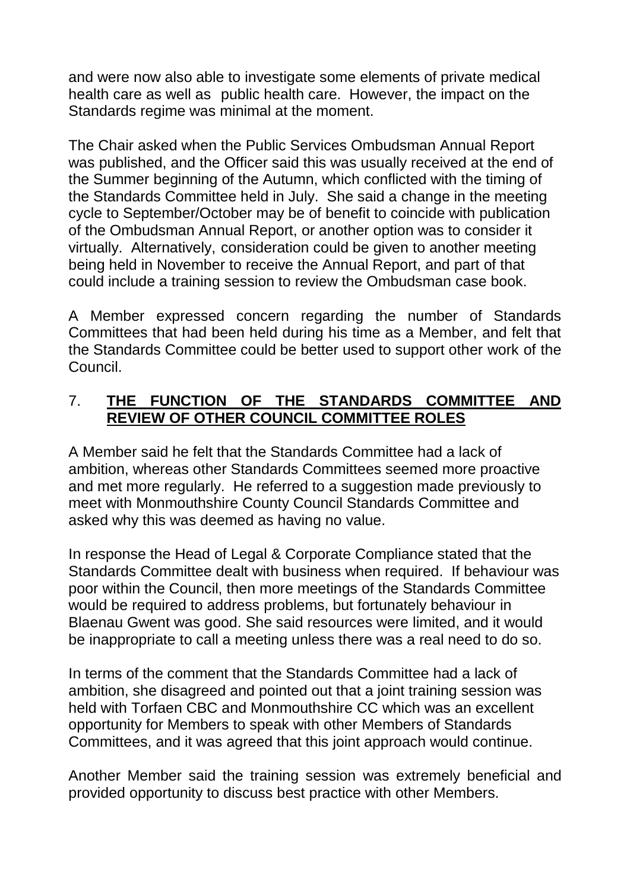and were now also able to investigate some elements of private medical health care as well as public health care. However, the impact on the Standards regime was minimal at the moment.

The Chair asked when the Public Services Ombudsman Annual Report was published, and the Officer said this was usually received at the end of the Summer beginning of the Autumn, which conflicted with the timing of the Standards Committee held in July. She said a change in the meeting cycle to September/October may be of benefit to coincide with publication of the Ombudsman Annual Report, or another option was to consider it virtually. Alternatively, consideration could be given to another meeting being held in November to receive the Annual Report, and part of that could include a training session to review the Ombudsman case book.

A Member expressed concern regarding the number of Standards Committees that had been held during his time as a Member, and felt that the Standards Committee could be better used to support other work of the Council.

#### 7. **THE FUNCTION OF THE STANDARDS COMMITTEE AND REVIEW OF OTHER COUNCIL COMMITTEE ROLES**

A Member said he felt that the Standards Committee had a lack of ambition, whereas other Standards Committees seemed more proactive and met more regularly. He referred to a suggestion made previously to meet with Monmouthshire County Council Standards Committee and asked why this was deemed as having no value.

In response the Head of Legal & Corporate Compliance stated that the Standards Committee dealt with business when required. If behaviour was poor within the Council, then more meetings of the Standards Committee would be required to address problems, but fortunately behaviour in Blaenau Gwent was good. She said resources were limited, and it would be inappropriate to call a meeting unless there was a real need to do so.

In terms of the comment that the Standards Committee had a lack of ambition, she disagreed and pointed out that a joint training session was held with Torfaen CBC and Monmouthshire CC which was an excellent opportunity for Members to speak with other Members of Standards Committees, and it was agreed that this joint approach would continue.

Another Member said the training session was extremely beneficial and provided opportunity to discuss best practice with other Members.